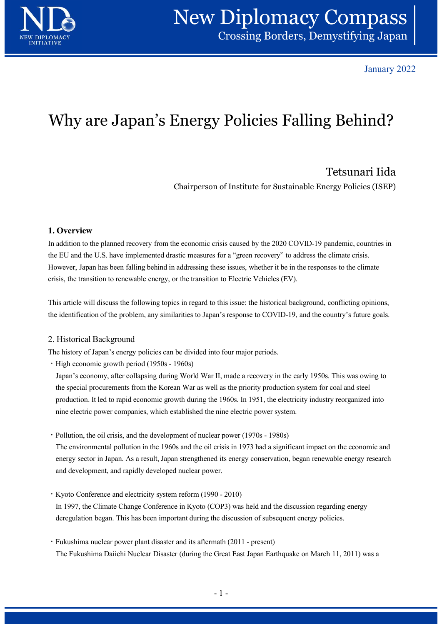

January 2022

# Why are Japan's Energy Policies Falling Behind?

Chairperson of Institute for Sustainable Energy Policies (ISEP)

## 1. Overview

In addition to the planned recovery from the economic crisis caused by the 2020 COVID-19 pandemic, countries in the EU and the U.S. have implemented drastic measures for a "green recovery" to address the climate crisis. However, Japan has been falling behind in addressing these issues, whether it be in the responses to the climate crisis, the transition to renewable energy, or the transition to Electric Vehicles (EV). Why are Japan's Energy Policies Falling Behind?<br>
Tetsunari Iida<br>
Chairperson of Institute for Sustainable Energy Policies (ISEP)<br>
In addition to the planned recovery from the economic crisis caused by the 2020 COVID-19 pan **ECSURIAT IT TON**<br> **ECSURIAT IT (1960)**<br> **1. Overview**<br> **1. Overview**<br> **1. Overview**<br> **1. Overview**<br> **1. Overview**<br> **1. Overview**<br> **1. Overview**<br> **1. Overview**<br> **1.** Overview<br> **1.** Overview that the U.S. have implemented d Chairperson of Institute for Sustainable Energy Policies (ISEP)<br>
Overview<br>
addition to the planned recovery from the economic crisis caused by the 2020 COVID-19 pandemic, countries in<br>
EU and the U.S. have implemented dras

the identification of the problem, any similarities to Japan's response to COVID-19, and the country's future goals.

### 2. Historical Background

The history of Japan's energy policies can be divided into four major periods.

the special procurements from the Korean War as well as the priority production system for coal and steel production. It led to rapid economic growth during the 1960s. In 1951, the electricity industry reorganized into nine electric power companies, which established the nine electric power system. In addition to the planest recovery from the economic erras causa by the 2020 COVID-19 panetme, contines in<br>the FLI and the U.S. have implemented drastic measures for a "green recovery" to address the elimate crisis.<br>Howev This after will diseass the following topics in regard to this issue: the historical background, conflicting opmons,<br>the identification of the problem, any similarities to Japan's response to COVID-19, and the country's fu The history of Japan's energy policies can be divided into four major periods.<br>
• High economy, after collapsing during World War II, made a recovery in the early 1950s. This was owing to<br>
1hapan's economy, after collapsin

The environmental pollution in the 1960s and the oil crisis in 1973 had a significant impact on the economic and energy sector in Japan. As a result, Japan strengthened its energy conservation, began renewable energy research and development, and rapidly developed nuclear power. ersols. In 1991, the electricity industry longthezed into<br>nine electric power system.<br>ar power (1970s - 1980s)<br>crisis in 1973 had a significant impact on the economic and<br>d its energy conservation, began renewable energy r

- In 1997, the Climate Change Conference in Kyoto (COP3) was held and the discussion regarding energy deregulation began. This has been important during the discussion of subsequent energy policies.
- The Fukushima Daiichi Nuclear Disaster (during the Great East Japan Earthquake on March 11, 2011) was a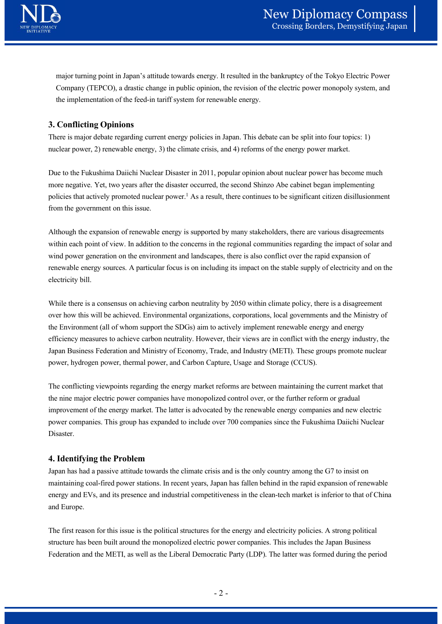

major turning point in Japan's attitude towards energy. It resulted in the bankruptcy of the Tokyo Electric Power Company (TEPCO), a drastic change in public opinion, the revision of the electric power monopoly system, and the implementation of the feed-in tariff system for renewable energy.

## 3. Conflicting Opinions

There is major debate regarding current energy policies in Japan. This debate can be split into four topics: 1) nuclear power, 2) renewable energy, 3) the climate crisis, and 4) reforms of the energy power market.

Due to the Fukushima Daiichi Nuclear Disaster in 2011, popular opinion about nuclear power has become much more negative. Yet, two years after the disaster occurred, the second Shinzo Abe cabinet began implementing policies that actively promoted nuclear power.1 As a result, there continues to be significant citizen disillusionment from the government on this issue.

Although the expansion of renewable energy is supported by many stakeholders, there are various disagreements within each point of view. In addition to the concerns in the regional communities regarding the impact of solar and wind power generation on the environment and landscapes, there is also conflict over the rapid expansion of renewable energy sources. A particular focus is on including its impact on the stable supply of electricity and on the electricity bill.

While there is a consensus on achieving carbon neutrality by 2050 within climate policy, there is a disagreement over how this will be achieved. Environmental organizations, corporations, local governments and the Ministry of the Environment (all of whom support the SDGs) aim to actively implement renewable energy and energy muclear power, 2) renewable energy, 3) the climate crisis, and 4) reforms of the energy power market.<br>Due to the Fukushima Daiichi Nuclear Disaster in 2011, popular opinion about nuclear power has become much<br>more negative Japan Business Federation and Ministry of Economy, Trade, and Industry (METI). These groups promote nuclear power, hydrogen power, thermal power, and Carbon Capture, Usage and Storage (CCUS).

The conflicting viewpoints regarding the energy market reforms are between maintaining the current market that the nine major electric power companies have monopolized control over, or the further reform or gradual improvement of the energy market. The latter is advocated by the renewable energy companies and new electric power companies. This group has expanded to include over 700 companies since the Fukushima Daiichi Nuclear Disaster.

### 4. Identifying the Problem

Japan has had a passive attitude towards the climate crisis and is the only country among the G7 to insist on maintaining coal-fired power stations. In recent years, Japan has fallen behind in the rapid expansion of renewable energy and EVs, and its presence and industrial competitiveness in the clean-tech market is inferior to that of China and Europe. East of the renewable energy companies and new electric<br>ted by the renewable energy companies and new electric<br>voer 700 companies since the Fukushima Daiichi Nuclear<br>sis and is the only country among the G7 to insist on<br>ap

The first reason for this issue is the political structures for the energy and electricity policies. A strong political structure has been built around the monopolized electric power companies. This includes the Japan Business Federation and the METI, as well as the Liberal Democratic Party (LDP). The latter was formed during the period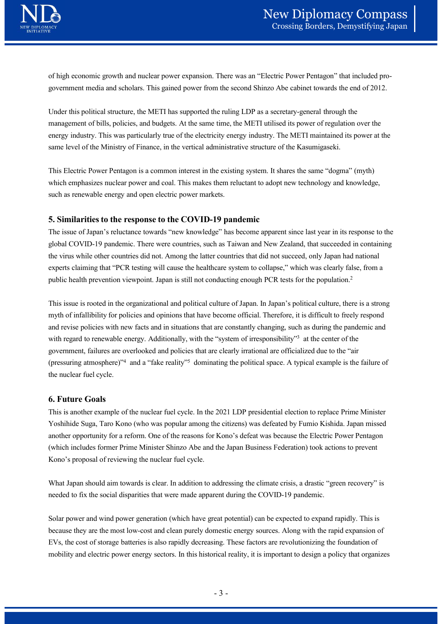of high economic growth and nuclear power expansion. There was an "Electric Power Pentagon" that included progovernment media and scholars. This gained power from the second Shinzo Abe cabinet towards the end of 2012.

Under this political structure, the METI has supported the ruling LDP as a secretary-general through the **MEW Diplomacy Compass**<br>
Crossing Borders, Demystifying Japan<br>
of high economic growth and nuclear power expansion. There was an "Electric Power Pentagon" that included pro-<br>
government media and scholars. This gained powe energy industry. This was particularly true of the electricity energy industry. The METI maintained its power at the same level of the Ministry of Finance, in the vertical administrative structure of the Kasumigaseki.

This Electric Power Pentagon is a common interest in the existing system. It shares the same "dogma" (myth) which emphasizes nuclear power and coal. This makes them reluctant to adopt new technology and knowledge, such as renewable energy and open electric power markets.

### 5. Similarities to the response to the COVID-19 pandemic

The issue of Japan's reluctance towards "new knowledge" has become apparent since last year in its response to the global COVID-19 pandemic. There were countries, such as Taiwan and New Zealand, that succeeded in containing the virus while other countries did not. Among the latter countries that did not succeed, only Japan had national experts claiming that "PCR testing will cause the healthcare system to collapse," which was clearly false, from a public health prevention viewpoint. Japan is still not conducting enough PCR tests for the population.2

This issue is rooted in the organizational and political culture of Japan. In Japan's political culture, there is a strong myth of infallibility for policies and opinions that have become official. Therefore, it is difficult to freely respond and revise policies with new facts and in situations that are constantly changing, such as during the pandemic and sime level of the Ministry of Finance, in the vertical administrative structure of the Kasumignseki.<br>
This Electric Power Pentagon is a common interest in the existing system. It shares the same "dogma" (myth)<br>
which emph with regard to renewable energy. Additionally, with the "system of irresponsibility" at the center of the government, failures are overlooked and policies that are clearly irrational are officialized due to the "air (pressuring atmosphere)"4 and a "fake reality"5 dominating the political space. A typical example is the failure of the nuclear fuel cycle. **5. Similarities to the response to the COVID-19 pandemic**<br>The issue of Japan's reluctance towards "new knowledge" has become apparent singlobal COVID-19 pandemic. There were countries, such as Taiwan and New Zealan<br>the v The issue of Japan's relictionte lowarks "row Knowledge" has become apparent intere dast year in the response to the<br>dighal COVID-19 pandemic. There were countries, such as Taiwan and New Zealand, that succeeded in contain and COVID-19 pandermic. Inververe countries, such as I awan and New Zealand, that succeed, only Japan had national<br>the virus while other countries dul not. Among the latter countries that did not succeed, only Japan had na experts claiming that "PCR testing will cause the healthcare system to collapse," which w<br>public health prevention viewpoint. Japan is still not conducting enough PCR tests for the<br>This issue is rooted in the organizationa

This is another example of the nuclear fuel cycle. In the 2021 LDP presidential election to replace Prime Minister (which includes former Prime Minister Shinzo Abe and the Japan Business Federation) took actions to prevent 2021 LDP presidential election to replace Prime Minister<br>he citizens) was defeated by Fumio Kishida. Japan missed<br>Kono's defeat was because the Electric Power Pentagon<br>the Japan Business Federation) took actions to prevent

What Japan should aim towards is clear. In addition to addressing the climate crisis, a drastic "green recovery" is needed to fix the social disparities that were made apparent during the COVID-19 pandemic.

Solar power and wind power generation (which have great potential) can be expected to expand rapidly. This is because they are the most low-cost and clean purely domestic energy sources. Along with the rapid expansion of EVs, the cost of storage batteries is also rapidly decreasing. These factors are revolutionizing the foundation of mobility and electric power energy sectors. In this historical reality, it is important to design a policy that organizes